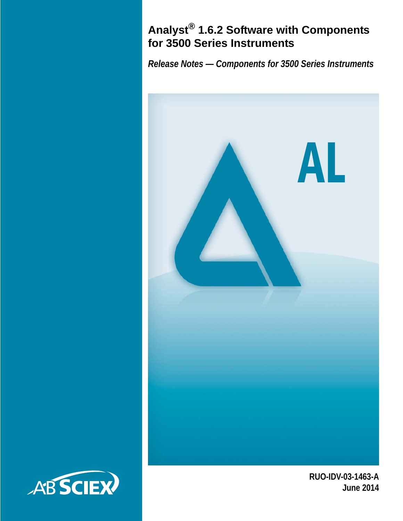### **Analyst® 1.6.2 Software with Components for 3500 Series Instruments**

*Release Notes — Components for 3500 Series Instruments*



**RUO-IDV-03-1463-A June 2014**

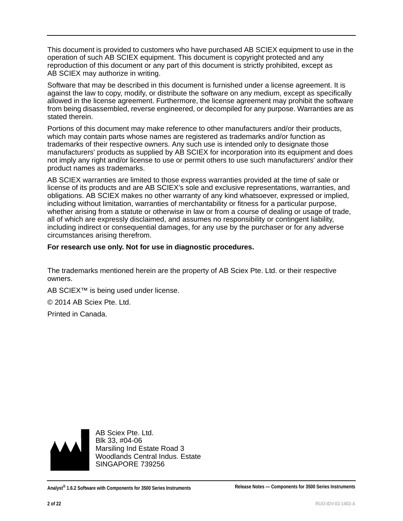This document is provided to customers who have purchased AB SCIEX equipment to use in the operation of such AB SCIEX equipment. This document is copyright protected and any reproduction of this document or any part of this document is strictly prohibited, except as AB SCIEX may authorize in writing.

Software that may be described in this document is furnished under a license agreement. It is against the law to copy, modify, or distribute the software on any medium, except as specifically allowed in the license agreement. Furthermore, the license agreement may prohibit the software from being disassembled, reverse engineered, or decompiled for any purpose. Warranties are as stated therein.

Portions of this document may make reference to other manufacturers and/or their products, which may contain parts whose names are registered as trademarks and/or function as trademarks of their respective owners. Any such use is intended only to designate those manufacturers' products as supplied by AB SCIEX for incorporation into its equipment and does not imply any right and/or license to use or permit others to use such manufacturers' and/or their product names as trademarks.

AB SCIEX warranties are limited to those express warranties provided at the time of sale or license of its products and are AB SCIEX's sole and exclusive representations, warranties, and obligations. AB SCIEX makes no other warranty of any kind whatsoever, expressed or implied, including without limitation, warranties of merchantability or fitness for a particular purpose, whether arising from a statute or otherwise in law or from a course of dealing or usage of trade, all of which are expressly disclaimed, and assumes no responsibility or contingent liability, including indirect or consequential damages, for any use by the purchaser or for any adverse circumstances arising therefrom.

#### **For research use only. Not for use in diagnostic procedures.**

The trademarks mentioned herein are the property of AB Sciex Pte. Ltd. or their respective owners.

AB SCIEX™ is being used under license.

© 2014 AB Sciex Pte. Ltd.

Printed in Canada.



AB Sciex Pte. Ltd. Blk 33, #04-06 Marsiling Ind Estate Road 3 Woodlands Central Indus. Estate SINGAPORE 739256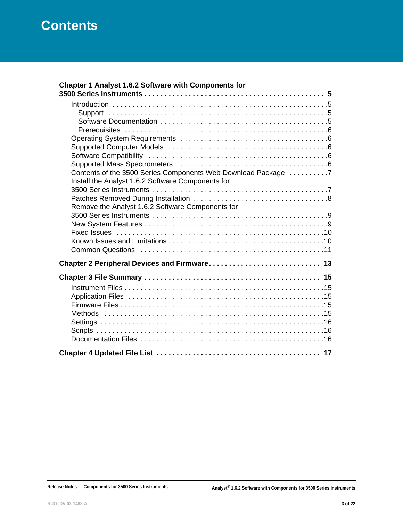| Chapter 1 Analyst 1.6.2 Software with Components for          |
|---------------------------------------------------------------|
|                                                               |
|                                                               |
|                                                               |
|                                                               |
|                                                               |
|                                                               |
|                                                               |
|                                                               |
|                                                               |
| Contents of the 3500 Series Components Web Download Package 7 |
| Install the Analyst 1.6.2 Software Components for             |
|                                                               |
|                                                               |
| Remove the Analyst 1.6.2 Software Components for              |
|                                                               |
|                                                               |
|                                                               |
|                                                               |
|                                                               |
|                                                               |
|                                                               |
|                                                               |
|                                                               |
|                                                               |
|                                                               |
|                                                               |
|                                                               |
|                                                               |
|                                                               |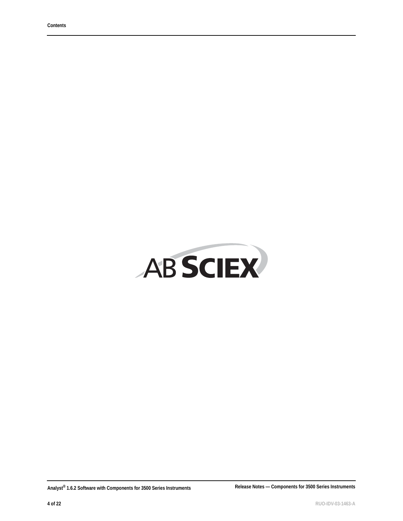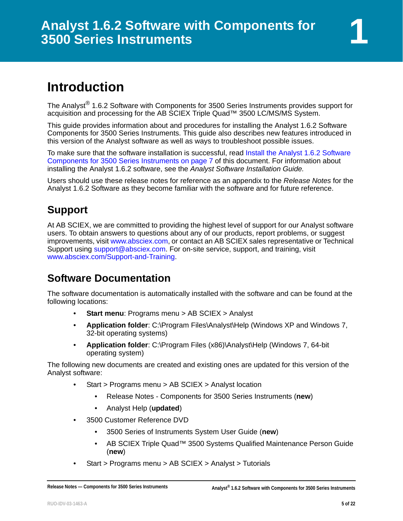# <span id="page-4-1"></span><span id="page-4-0"></span>**Introduction**

The Analyst<sup>®</sup> 1.6.2 Software with Components for 3500 Series Instruments provides support for acquisition and processing for the AB SCIEX Triple Quad™ 3500 LC/MS/MS System.

This guide provides information about and procedures for installing the Analyst 1.6.2 Software Components for 3500 Series Instruments. This guide also describes new features introduced in this version of the Analyst software as well as ways to troubleshoot possible issues.

To make sure that the software installation is successful, read [Install the Analyst 1.6.2 Software](#page-6-1)  [Components for 3500 Series Instruments on page 7](#page-6-1) of this document. For information about installing the Analyst 1.6.2 software, see the *Analyst Software Installation Guide.*

Users should use these release notes for reference as an appendix to the *Release Notes* for the Analyst 1.6.2 Software as they become familiar with the software and for future reference.

### <span id="page-4-2"></span>**Support**

At AB SCIEX, we are committed to providing the highest level of support for our Analyst software users. To obtain answers to questions about any of our products, report problems, or suggest improvements, visit www.absciex.com, or contact an AB SCIEX sales representative or Technical Support using support@absciex.com. For on-site service, support, and training, visit www.absciex.com/Support-and-Training.

### <span id="page-4-3"></span>**Software Documentation**

The software documentation is automatically installed with the software and can be found at the following locations:

- **Start menu: Programs menu > AB SCIEX > Analyst**
- **Application folder**: C:\Program Files\Analyst\Help (Windows XP and Windows 7, 32-bit operating systems)
- **Application folder**: C:\Program Files (x86)\Analyst\Help (Windows 7, 64-bit operating system)

The following new documents are created and existing ones are updated for this version of the Analyst software:

- Start > Programs menu > AB SCIEX > Analyst location
	- Release Notes Components for 3500 Series Instruments (**new**)
	- Analyst Help (**updated**)
- 3500 Customer Reference DVD
	- 3500 Series of Instruments System User Guide (**new**)
	- AB SCIEX Triple Quad™ 3500 Systems Qualified Maintenance Person Guide (**new**)
- Start > Programs menu > AB SCIEX > Analyst > Tutorials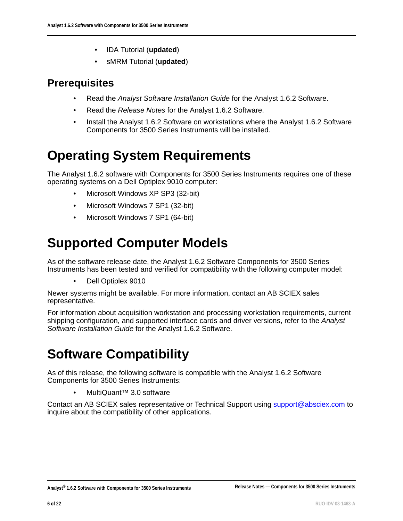- IDA Tutorial (**updated**)
- sMRM Tutorial (**updated**)

### <span id="page-5-0"></span>**Prerequisites**

- Read the *Analyst Software Installation Guide* for the Analyst 1.6.2 Software.
- Read the *Release Notes* for the Analyst 1.6.2 Software.
- Install the Analyst 1.6.2 Software on workstations where the Analyst 1.6.2 Software Components for 3500 Series Instruments will be installed.

# <span id="page-5-1"></span>**Operating System Requirements**

The Analyst 1.6.2 software with Components for 3500 Series Instruments requires one of these operating systems on a Dell Optiplex 9010 computer:

- Microsoft Windows XP SP3 (32-bit)
- Microsoft Windows 7 SP1 (32-bit)
- Microsoft Windows 7 SP1 (64-bit)

# <span id="page-5-2"></span>**Supported Computer Models**

As of the software release date, the Analyst 1.6.2 Software Components for 3500 Series Instruments has been tested and verified for compatibility with the following computer model:

• Dell Optiplex 9010

Newer systems might be available. For more information, contact an AB SCIEX sales representative.

For information about acquisition workstation and processing workstation requirements, current shipping configuration, and supported interface cards and driver versions, refer to the *Analyst Software Installation Guide* for the Analyst 1.6.2 Software.

# <span id="page-5-3"></span>**Software Compatibility**

As of this release, the following software is compatible with the Analyst 1.6.2 Software Components for 3500 Series Instruments:

• MultiQuant™ 3.0 software

<span id="page-5-4"></span>Contact an AB SCIEX sales representative or Technical Support using support@absciex.com to inquire about the compatibility of other applications.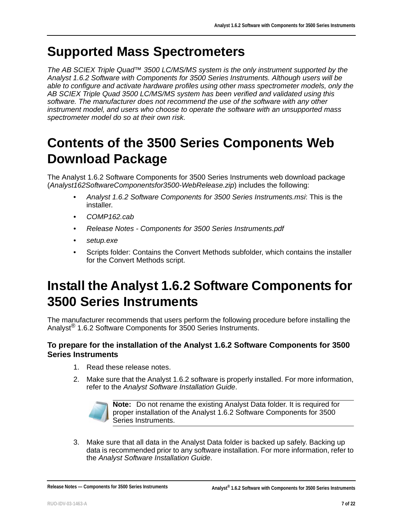## **Supported Mass Spectrometers**

*The AB SCIEX Triple Quad™ 3500 LC/MS/MS system is the only instrument supported by the Analyst 1.6.2 Software with Components for 3500 Series Instruments. Although users will be able to configure and activate hardware profiles using other mass spectrometer models, only the AB SCIEX Triple Quad 3500 LC/MS/MS system has been verified and validated using this software. The manufacturer does not recommend the use of the software with any other instrument model, and users who choose to operate the software with an unsupported mass spectrometer model do so at their own risk.*

# <span id="page-6-0"></span>**Contents of the 3500 Series Components Web Download Package**

The Analyst 1.6.2 Software Components for 3500 Series Instruments web download package (*Analyst162SoftwareComponentsfor3500-WebRelease.zip*) includes the following:

- *Analyst 1.6.2 Software Components for 3500 Series Instruments.msi*: This is the installer.
- *COMP162.cab*
- *Release Notes Components for 3500 Series Instruments.pdf*
- *setup.exe*
- Scripts folder: Contains the Convert Methods subfolder, which contains the installer for the Convert Methods script.

# <span id="page-6-1"></span>**Install the Analyst 1.6.2 Software Components for 3500 Series Instruments**

The manufacturer recommends that users perform the following procedure before installing the Analyst® 1.6.2 Software Components for 3500 Series Instruments.

#### **To prepare for the installation of the Analyst 1.6.2 Software Components for 3500 Series Instruments**

- 1. Read these release notes.
- 2. Make sure that the Analyst 1.6.2 software is properly installed. For more information, refer to the *Analyst Software Installation Guide*.



**Note:** Do not rename the existing Analyst Data folder. It is required for proper installation of the Analyst 1.6.2 Software Components for 3500 Series Instruments.

3. Make sure that all data in the Analyst Data folder is backed up safely. Backing up data is recommended prior to any software installation. For more information, refer to the *Analyst Software Installation Guide*.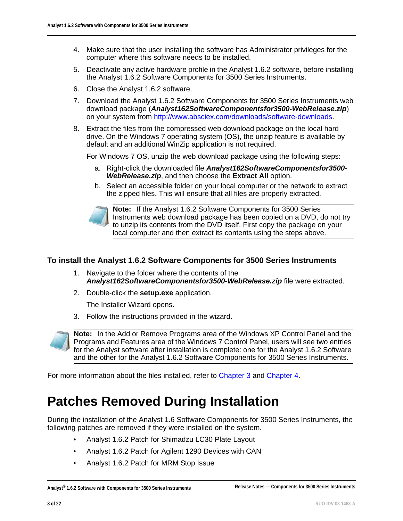- 4. Make sure that the user installing the software has Administrator privileges for the computer where this software needs to be installed.
- 5. Deactivate any active hardware profile in the Analyst 1.6.2 software, before installing the Analyst 1.6.2 Software Components for 3500 Series Instruments.
- 6. Close the Analyst 1.6.2 software.
- 7. Download the Analyst 1.6.2 Software Components for 3500 Series Instruments web download package (*Analyst162SoftwareComponentsfor3500-WebRelease.zip*) on your system from http://www.absciex.com/downloads/software-downloads.
- 8. Extract the files from the compressed web download package on the local hard drive. On the Windows 7 operating system (OS), the unzip feature is available by default and an additional WinZip application is not required.

For Windows 7 OS, unzip the web download package using the following steps:

- a. Right-click the downloaded file *Analyst162SoftwareComponentsfor3500- WebRelease.zip*, and then choose the **Extract All** option.
- b. Select an accessible folder on your local computer or the network to extract the zipped files. This will ensure that all files are properly extracted.



**Note:** If the Analyst 1.6.2 Software Components for 3500 Series Instruments web download package has been copied on a DVD, do not try to unzip its contents from the DVD itself. First copy the package on your local computer and then extract its contents using the steps above.

#### **To install the Analyst 1.6.2 Software Components for 3500 Series Instruments**

- 1. Navigate to the folder where the contents of the *Analyst162SoftwareComponentsfor3500-WebRelease.zip* file were extracted.
- 2. Double-click the **setup.exe** application.

The Installer Wizard opens.

3. Follow the instructions provided in the wizard.



**Note:** In the Add or Remove Programs area of the Windows XP Control Panel and the Programs and Features area of the Windows 7 Control Panel, users will see two entries for the Analyst software after installation is complete: one for the Analyst 1.6.2 Software and the other for the Analyst 1.6.2 Software Components for 3500 Series Instruments.

For more information about the files installed, refer to [Chapter 3](#page-14-5) and [Chapter 4](#page-16-1).

## <span id="page-7-0"></span>**Patches Removed During Installation**

During the installation of the Analyst 1.6 Software Components for 3500 Series Instruments, the following patches are removed if they were installed on the system.

- Analyst 1.6.2 Patch for Shimadzu LC30 Plate Layout
- Analyst 1.6.2 Patch for Agilent 1290 Devices with CAN
- Analyst 1.6.2 Patch for MRM Stop Issue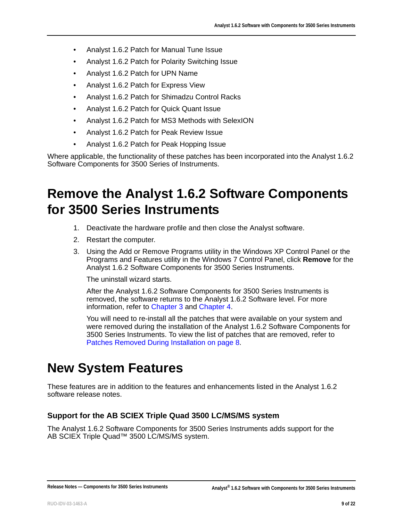- Analyst 1.6.2 Patch for Manual Tune Issue
- Analyst 1.6.2 Patch for Polarity Switching Issue
- Analyst 1.6.2 Patch for UPN Name
- Analyst 1.6.2 Patch for Express View
- Analyst 1.6.2 Patch for Shimadzu Control Racks
- Analyst 1.6.2 Patch for Quick Quant Issue
- Analyst 1.6.2 Patch for MS3 Methods with SelexION
- Analyst 1.6.2 Patch for Peak Review Issue
- Analyst 1.6.2 Patch for Peak Hopping Issue

Where applicable, the functionality of these patches has been incorporated into the Analyst 1.6.2 Software Components for 3500 Series of Instruments.

## <span id="page-8-0"></span>**Remove the Analyst 1.6.2 Software Components for 3500 Series Instruments**

- 1. Deactivate the hardware profile and then close the Analyst software.
- 2. Restart the computer.
- 3. Using the Add or Remove Programs utility in the Windows XP Control Panel or the Programs and Features utility in the Windows 7 Control Panel, click **Remove** for the Analyst 1.6.2 Software Components for 3500 Series Instruments.

The uninstall wizard starts.

After the Analyst 1.6.2 Software Components for 3500 Series Instruments is removed, the software returns to the Analyst 1.6.2 Software level. For more information, refer to [Chapter 3](#page-14-5) and [Chapter 4.](#page-16-1)

You will need to re-install all the patches that were available on your system and were removed during the installation of the Analyst 1.6.2 Software Components for 3500 Series Instruments. To view the list of patches that are removed, refer to [Patches Removed During Installation on page 8.](#page-7-0)

## <span id="page-8-1"></span>**New System Features**

These features are in addition to the features and enhancements listed in the Analyst 1.6.2 software release notes.

#### **Support for the AB SCIEX Triple Quad 3500 LC/MS/MS system**

The Analyst 1.6.2 Software Components for 3500 Series Instruments adds support for the AB SCIEX Triple Quad™ 3500 LC/MS/MS system.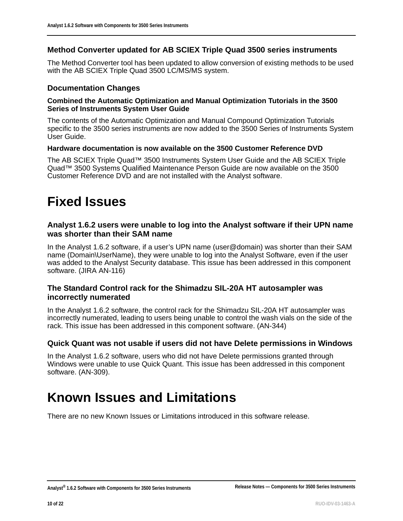#### **Method Converter updated for AB SCIEX Triple Quad 3500 series instruments**

The Method Converter tool has been updated to allow conversion of existing methods to be used with the AB SCIEX Triple Quad 3500 LC/MS/MS system.

#### **Documentation Changes**

#### **Combined the Automatic Optimization and Manual Optimization Tutorials in the 3500 Series of Instruments System User Guide**

The contents of the Automatic Optimization and Manual Compound Optimization Tutorials specific to the 3500 series instruments are now added to the 3500 Series of Instruments System User Guide.

#### **Hardware documentation is now available on the 3500 Customer Reference DVD**

The AB SCIEX Triple Quad™ 3500 Instruments System User Guide and the AB SCIEX Triple Quad™ 3500 Systems Qualified Maintenance Person Guide are now available on the 3500 Customer Reference DVD and are not installed with the Analyst software.

## <span id="page-9-0"></span>**Fixed Issues**

#### **Analyst 1.6.2 users were unable to log into the Analyst software if their UPN name was shorter than their SAM name**

In the Analyst 1.6.2 software, if a user's UPN name (user@domain) was shorter than their SAM name (Domain\UserName), they were unable to log into the Analyst Software, even if the user was added to the Analyst Security database. This issue has been addressed in this component software. (JIRA AN-116)

#### **The Standard Control rack for the Shimadzu SIL-20A HT autosampler was incorrectly numerated**

In the Analyst 1.6.2 software, the control rack for the Shimadzu SIL-20A HT autosampler was incorrectly numerated, leading to users being unable to control the wash vials on the side of the rack. This issue has been addressed in this component software. (AN-344)

#### **Quick Quant was not usable if users did not have Delete permissions in Windows**

In the Analyst 1.6.2 software, users who did not have Delete permissions granted through Windows were unable to use Quick Quant. This issue has been addressed in this component software. (AN-309).

### <span id="page-9-1"></span>**Known Issues and Limitations**

There are no new Known Issues or Limitations introduced in this software release.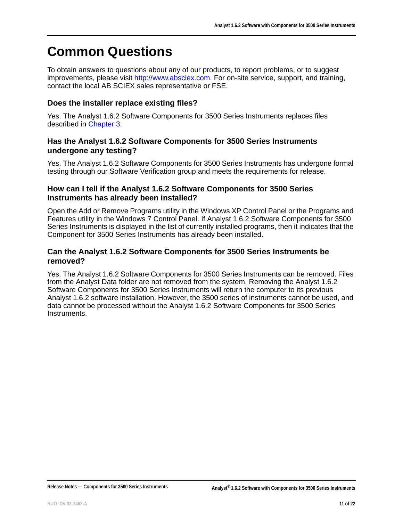## <span id="page-10-0"></span>**Common Questions**

To obtain answers to questions about any of our products, to report problems, or to suggest improvements, please visit http://www.absciex.com. For on-site service, support, and training, contact the local AB SCIEX sales representative or FSE.

#### **Does the installer replace existing files?**

Yes. The Analyst 1.6.2 Software Components for 3500 Series Instruments replaces files described in [Chapter 3.](#page-14-5)

#### **Has the Analyst 1.6.2 Software Components for 3500 Series Instruments undergone any testing?**

Yes. The Analyst 1.6.2 Software Components for 3500 Series Instruments has undergone formal testing through our Software Verification group and meets the requirements for release.

#### **How can I tell if the Analyst 1.6.2 Software Components for 3500 Series Instruments has already been installed?**

Open the Add or Remove Programs utility in the Windows XP Control Panel or the Programs and Features utility in the Windows 7 Control Panel. If Analyst 1.6.2 Software Components for 3500 Series Instruments is displayed in the list of currently installed programs, then it indicates that the Component for 3500 Series Instruments has already been installed.

#### **Can the Analyst 1.6.2 Software Components for 3500 Series Instruments be removed?**

Yes. The Analyst 1.6.2 Software Components for 3500 Series Instruments can be removed. Files from the Analyst Data folder are not removed from the system. Removing the Analyst 1.6.2 Software Components for 3500 Series Instruments will return the computer to its previous Analyst 1.6.2 software installation. However, the 3500 series of instruments cannot be used, and data cannot be processed without the Analyst 1.6.2 Software Components for 3500 Series Instruments.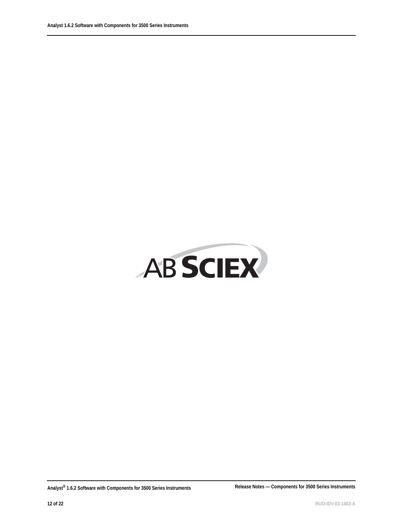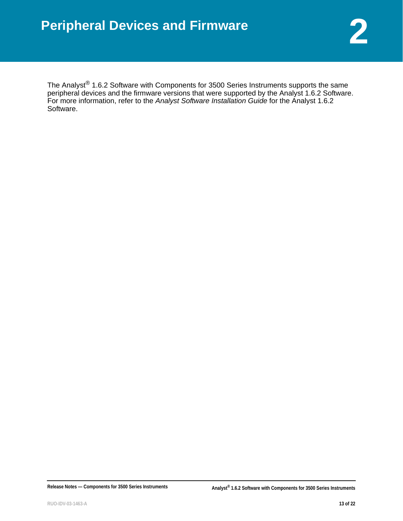<span id="page-12-0"></span>The Analyst $^{\circledR}$  1.6.2 Software with Components for 3500 Series Instruments supports the same peripheral devices and the firmware versions that were supported by the Analyst 1.6.2 Software. For more information, refer to the *Analyst Software Installation Guide* for the Analyst 1.6.2 Software.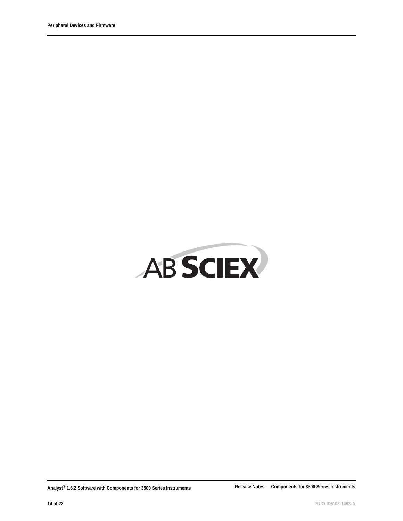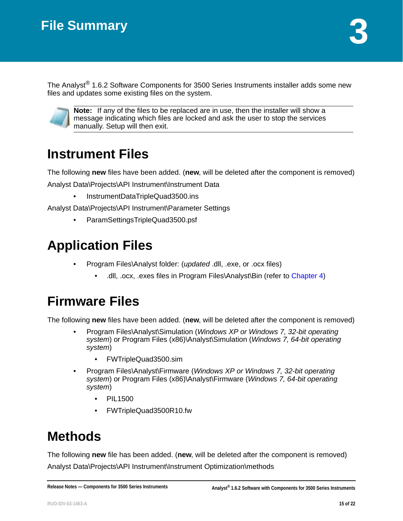<span id="page-14-5"></span><span id="page-14-0"></span>The Analyst<sup>®</sup> 1.6.2 Software Components for 3500 Series Instruments installer adds some new files and updates some existing files on the system.



**Note:** If any of the files to be replaced are in use, then the installer will show a message indicating which files are locked and ask the user to stop the services manually. Setup will then exit.

# <span id="page-14-1"></span>**Instrument Files**

The following **new** files have been added. (**new**, will be deleted after the component is removed) Analyst Data\Projects\API Instrument\Instrument Data

• InstrumentDataTripleQuad3500.ins

Analyst Data\Projects\API Instrument\Parameter Settings

• ParamSettingsTripleQuad3500.psf

# <span id="page-14-2"></span>**Application Files**

- Program Files\Analyst folder: (*updated* .dll, .exe, or .ocx files)
	- .dll, .ocx, .exes files in Program Files\Analyst\Bin (refer to [Chapter 4](#page-16-1))

# <span id="page-14-3"></span>**Firmware Files**

The following **new** files have been added. (**new**, will be deleted after the component is removed)

- Program Files\Analyst\Simulation (*Windows XP or Windows 7, 32-bit operating system*) or Program Files (x86)\Analyst\Simulation (*Windows 7, 64-bit operating system*)
	- FWTripleQuad3500.sim
- Program Files\Analyst\Firmware (*Windows XP or Windows 7, 32-bit operating system*) or Program Files (x86)\Analyst\Firmware (*Windows 7, 64-bit operating system*)
	- PIL1500
	- FWTripleQuad3500R10.fw

# <span id="page-14-4"></span>**Methods**

The following **new** file has been added. (**new**, will be deleted after the component is removed) Analyst Data\Projects\API Instrument\Instrument Optimization\methods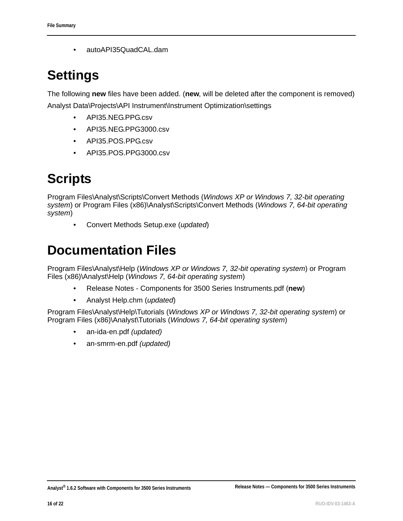• autoAPI35QuadCAL.dam

# <span id="page-15-0"></span>**Settings**

The following **new** files have been added. (**new**, will be deleted after the component is removed) Analyst Data\Projects\API Instrument\Instrument Optimization\settings

- API35.NEG.PPG.csv
- API35.NEG.PPG3000.csv
- API35.POS.PPG.csv
- API35.POS.PPG3000.csv

# <span id="page-15-1"></span>**Scripts**

Program Files\Analyst\Scripts\Convert Methods (*Windows XP or Windows 7, 32-bit operating system*) or Program Files (x86)\Analyst\Scripts\Convert Methods (*Windows 7, 64-bit operating system*)

• Convert Methods Setup.exe (*updated*)

## <span id="page-15-2"></span>**Documentation Files**

Program Files\Analyst\Help (*Windows XP or Windows 7, 32-bit operating system*) or Program Files (x86)\Analyst\Help (*Windows 7, 64-bit operating system*)

- Release Notes Components for 3500 Series Instruments.pdf (**new**)
- Analyst Help.chm (*updated*)

Program Files\Analyst\Help\Tutorials (*Windows XP or Windows 7, 32-bit operating system*) or Program Files (x86)\Analyst\Tutorials (*Windows 7, 64-bit operating system*)

- an-ida-en.pdf *(updated)*
- an-smrm-en.pdf *(updated)*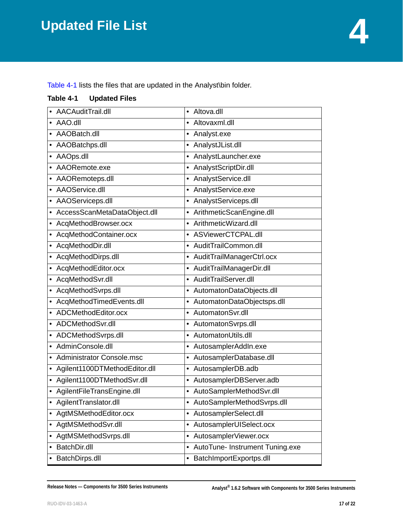<span id="page-16-1"></span><span id="page-16-0"></span>Table 4-1 lists the files that are updated in the Analyst\bin folder.

#### **Table 4-1 Updated Files**

| AACAuditTrail.dll                       | Altova.dll<br>$\bullet$                      |
|-----------------------------------------|----------------------------------------------|
| • AAO.dll                               | Altovaxml.dll<br>$\bullet$                   |
| AAOBatch.dll                            | Analyst.exe<br>$\bullet$                     |
| AAOBatchps.dll                          | AnalystJList.dll                             |
| AAOps.dll                               | AnalystLauncher.exe                          |
| AAORemote.exe                           | AnalystScriptDir.dll                         |
| AAORemoteps.dll                         | AnalystService.dll<br>$\bullet$              |
| • AAOService.dll                        | AnalystService.exe<br>$\bullet$              |
| AAOServiceps.dll                        | AnalystServiceps.dll<br>$\bullet$            |
| AccessScanMetaDataObject.dll            | ArithmeticScanEngine.dll<br>٠                |
| AcqMethodBrowser.ocx                    | ArithmeticWizard.dll<br>٠                    |
| AcqMethodContainer.ocx                  | ASViewerCTCPAL.dll<br>$\bullet$              |
| AcqMethodDir.dll                        | AuditTrailCommon.dll<br>$\bullet$            |
| AcqMethodDirps.dll                      | AuditTrailManagerCtrl.ocx                    |
| AcqMethodEditor.ocx                     | AuditTrailManagerDir.dll<br>$\bullet$        |
| AcqMethodSvr.dll                        | AuditTrailServer.dll<br>$\bullet$            |
| AcqMethodSvrps.dll                      | • AutomatonDataObjects.dll                   |
| AcqMethodTimedEvents.dll                | AutomatonDataObjectsps.dll                   |
| ADCMethodEditor.ocx                     | AutomatonSvr.dll<br>$\bullet$                |
| • ADCMethodSvr.dll                      | AutomatonSvrps.dll<br>٠                      |
| ADCMethodSvrps.dll                      | AutomatonUtils.dll<br>$\bullet$              |
| AdminConsole.dll                        | AutosamplerAddIn.exe<br>$\bullet$            |
| • Administrator Console.msc             | AutosamplerDatabase.dll<br>٠                 |
| Agilent1100DTMethodEditor.dll           | AutosamplerDB.adb<br>٠                       |
| Agilent1100DTMethodSvr.dll              | AutosamplerDBServer.adb<br>$\bullet$         |
| AgilentFileTransEngine.dll<br>$\bullet$ | • AutoSamplerMethodSvr.dll                   |
| AgilentTranslator.dll                   | AutoSamplerMethodSvrps.dll                   |
| AgtMSMethodEditor.ocx                   | • AutosamplerSelect.dll                      |
| AgtMSMethodSvr.dll<br>٠                 | AutosamplerUISelect.ocx<br>٠                 |
| AgtMSMethodSvrps.dll<br>$\bullet$       | AutosamplerViewer.ocx<br>٠                   |
| BatchDir.dll                            | AutoTune- Instrument Tuning.exe<br>$\bullet$ |
| BatchDirps.dll                          | BatchImportExportps.dll<br>٠                 |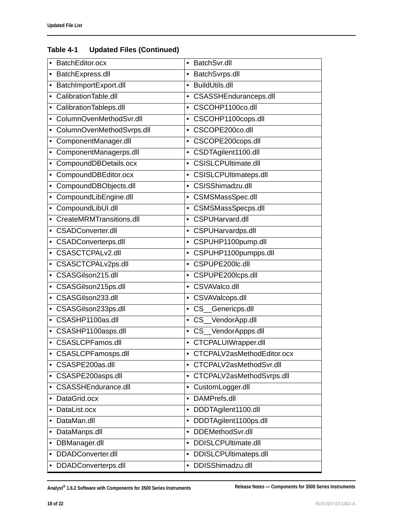| BatchEditor.ocx            | BatchSvr.dll<br>$\bullet$          |
|----------------------------|------------------------------------|
| BatchExpress.dll           | BatchSvrps.dll<br>$\bullet$        |
| BatchImportExport.dll      | <b>BuildUtils.dll</b><br>$\bullet$ |
| Calibration Table.dll      | CSASSHEnduranceps.dll              |
| CalibrationTableps.dll     | CSCOHP1100co.dll<br>$\bullet$      |
| ColumnOvenMethodSvr.dll    | CSCOHP1100cops.dll<br>$\bullet$    |
| ColumnOvenMethodSvrps.dll  | CSCOPE200co.dll<br>$\bullet$       |
| ComponentManager.dll       | CSCOPE200cops.dll<br>$\bullet$     |
| ComponentManagerps.dll     | CSDTAgilent1100.dll<br>$\bullet$   |
| CompoundDBDetails.ocx      | <b>CSISLCPUltimate.dll</b>         |
| CompoundDBEditor.ocx       | <b>CSISLCPUltimateps.dll</b>       |
| CompoundDBObjects.dll<br>٠ | CSISShimadzu.dll<br>$\bullet$      |
| CompoundLibEngine.dll      | CSMSMassSpec.dll<br>$\bullet$      |
| CompoundLibUI.dll          | CSMSMassSpecps.dll<br>$\bullet$    |
| CreateMRMTransitions.dll   | CSPUHarvard.dll<br>$\bullet$       |
| <b>CSADConverter.dll</b>   | • CSPUHarvardps.dll                |
| CSADConverterps.dll        | CSPUHP1100pump.dll<br>$\bullet$    |
| CSASCTCPALv2.dll           | • CSPUHP1100pumpps.dll             |
| CSASCTCPALv2ps.dll         | CSPUPE200lc.dll<br>$\bullet$       |
| CSASGilson215.dll          | CSPUPE200lcps.dll<br>$\bullet$     |
| CSASGilson215ps.dll        | CSVAValco.dll<br>$\bullet$         |
| CSASGilson233.dll          | CSVAValcops.dll                    |
| CSASGilson233ps.dll        | CS_Genericps.dll<br>$\bullet$      |
| CSASHP1100as.dll           | CS_VendorApp.dll<br>$\bullet$      |
| CSASHP1100asps.dll         | • CS_VendorAppps.dll               |
| <b>CSASLCPFamos.dll</b>    | CTCPALUIWrapper.dll<br>$\bullet$   |
| <b>CSASLCPFamosps.dll</b>  | CTCPALV2asMethodEditor.ocx         |
| CSASPE200as.dll            | • CTCPALV2asMethodSvr.dll          |
| CSASPE200asps.dll          | • CTCPALV2asMethodSvrps.dll        |
| <b>CSASSHEndurance.dll</b> | CustomLogger.dll<br>$\bullet$      |
| DataGrid.ocx               | DAMPrefs.dll<br>$\bullet$          |
| DataList.ocx               | DDDTAgilent1100.dll<br>$\bullet$   |
| DataMan.dll                | DDDTAgilent1100ps.dll<br>$\bullet$ |
| DataManps.dll<br>٠         | DDEMethodSvr.dll<br>$\bullet$      |
| DBManager.dll<br>٠         | DDISLCPUltimate.dll<br>$\bullet$   |
| DDADConverter.dll          | DDISLCPUltimateps.dll<br>$\bullet$ |
| • DDADConverterps.dll      | DDISShimadzu.dll<br>$\bullet$      |

**Analyst® 1.6.2 Software with Components for 3500 Series Instruments Release Notes — Components for 3500 Series Instruments**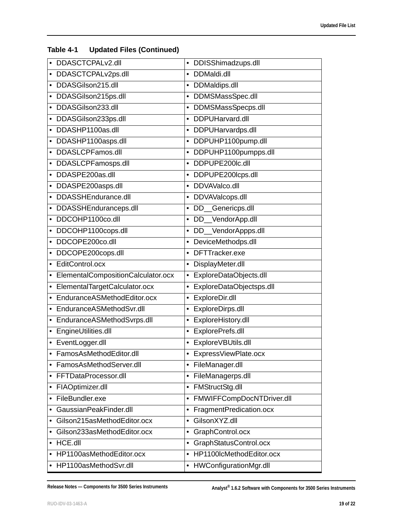| • DDASCTCPALv2.dll                   | • DDISShimadzups.dll                |
|--------------------------------------|-------------------------------------|
| • DDASCTCPALv2ps.dll                 | DDMaldi.dll<br>$\bullet$            |
| • DDASGilson215.dll                  | • DDMaldips.dll                     |
| • DDASGilson215ps.dll                | DDMSMassSpec.dll                    |
| DDASGilson233.dll                    | DDMSMassSpecps.dll<br>$\bullet$     |
| • DDASGilson233ps.dll                | DDPUHarvard.dll<br>٠                |
| DDASHP1100as.dll                     | DDPUHarvardps.dll                   |
| • DDASHP1100asps.dll                 | DDPUHP1100pump.dll<br>$\bullet$     |
| • DDASLCPFamos.dll                   | DDPUHP1100pumpps.dll<br>$\bullet$   |
| • DDASLCPFamosps.dll                 | DDPUPE200lc.dll<br>$\bullet$        |
| DDASPE200as.dll                      | DDPUPE200lcps.dll<br>٠              |
| • DDASPE200asps.dll                  | • DDVAValco.dll                     |
| • DDASSHEndurance.dll                | · DDVAValcops.dll                   |
| • DDASSHEnduranceps.dll              | DD_Genericps.dll<br>$\bullet$       |
| • DDCOHP1100co.dll                   | • DD_VendorApp.dll                  |
| • DDCOHP1100cops.dll                 | _VendorAppps.dll<br>DD.<br>٠        |
| DDCOPE200co.dll                      | • DeviceMethodps.dll                |
| • DDCOPE200cops.dll                  | DFTTracker.exe<br>$\bullet$         |
| • EditControl.ocx                    | DisplayMeter.dll<br>٠               |
| • ElementalCompositionCalculator.ocx | ExploreDataObjects.dll<br>$\bullet$ |
| • ElementalTargetCalculator.ocx      | ExploreDataObjectsps.dll<br>٠       |
| • EnduranceASMethodEditor.ocx        | ExploreDir.dll<br>٠                 |
| • EnduranceASMethodSvr.dll           | ExploreDirps.dll<br>٠               |
| • EnduranceASMethodSvrps.dll         | ExploreHistory.dll<br>٠             |
| • EngineUtilities.dll                | • ExplorePrefs.dll                  |
| • EventLogger.dll                    | ExploreVBUtils.dll<br>$\bullet$     |
| FamosAsMethodEditor.dll              | ExpressViewPlate.ocx                |
| FamosAsMethodServer.dll              | FileManager.dll<br>$\bullet$        |
| FFTDataProcessor.dll                 | FileManagerps.dll<br>٠              |
| FIAOptimizer.dll                     | FMStructStg.dll<br>$\bullet$        |
| FileBundler.exe                      | FMWIFFCompDocNTDriver.dll<br>٠      |
| GaussianPeakFinder.dll               | FragmentPredication.ocx<br>٠        |
| Gilson215asMethodEditor.ocx          | GilsonXYZ.dll<br>$\bullet$          |
| Gilson233asMethodEditor.ocx          | GraphControl.ocx<br>٠               |
| HCE.dll                              | GraphStatusControl.ocx<br>$\bullet$ |
| • HP1100asMethodEditor.ocx           | HP1100lcMethodEditor.ocx<br>٠       |
| • HP1100asMethodSvr.dll              | HWConfigurationMgr.dll<br>٠         |

**Release Notes — Components for 3500 Series Instruments Analyst® 1.6.2 Software with Components for 3500 Series Instruments**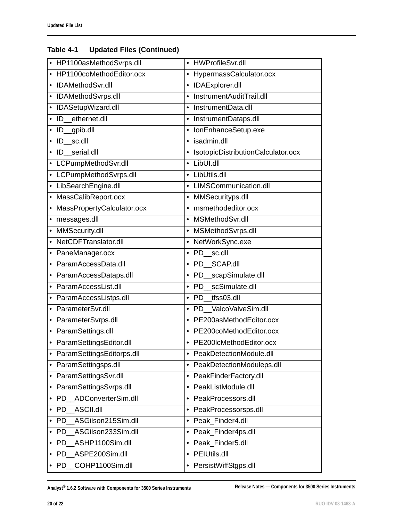| • HP1100asMethodSvrps.dll            | • HWProfileSvr.dll                   |
|--------------------------------------|--------------------------------------|
| HP1100coMethodEditor.ocx             | HypermassCalculator.ocx<br>$\bullet$ |
| IDAMethodSvr.dll                     | • IDAExplorer.dll                    |
| IDAMethodSvrps.dll                   | InstrumentAuditTrail.dll             |
| IDASetupWizard.dll<br>$\bullet$      | InstrumentData.dll<br>$\bullet$      |
| ethernet.dll<br>ID                   | • InstrumentDataps.dll               |
| gpib.dll<br>ID<br>$\bullet$          | IonEnhanceSetup.exe<br>$\bullet$     |
| sc.dll<br>ID                         | isadmin.dll<br>$\bullet$             |
| serial.dll<br>ID                     | · IsotopicDistributionCalculator.ocx |
| LCPumpMethodSvr.dll                  | • LibUI.dll                          |
| LCPumpMethodSvrps.dll<br>$\bullet$   | • LibUtils.dll                       |
| LibSearchEngine.dll                  | • LIMSCommunication.dll              |
| MassCalibReport.ocx                  | • MMSecurityps.dll                   |
| MassPropertyCalculator.ocx           | msmethodeditor.ocx                   |
| messages.dll                         | MSMethodSvr.dll                      |
| MMSecurity.dll                       | • MSMethodSvrps.dll                  |
| NetCDFTranslator.dll                 | • NetWorkSync.exe                    |
| PaneManager.ocx                      | · PD sc.dll                          |
| ParamAccessData.dll                  | · PD SCAP.dll                        |
| ParamAccessDataps.dll                | PD_scapSimulate.dll<br>$\bullet$     |
| ParamAccessList.dll                  | · PD scSimulate.dll                  |
| ParamAccessListps.dll                | · PD tfss03.dll                      |
| ParameterSvr.dll<br>$\bullet$        | · PD ValcoValveSim.dll               |
| ParameterSvrps.dll                   | • PE200asMethodEditor.ocx            |
| • ParamSettings.dll                  | • PE200coMethodEditor.ocx            |
| ParamSettingsEditor.dll<br>$\bullet$ | • PE200lcMethodEditor.ocx            |
| ParamSettingsEditorps.dll            | PeakDetectionModule.dll              |
| ParamSettingsps.dll                  | • PeakDetectionModuleps.dll          |
| ParamSettingsSvr.dll<br>٠            | • PeakFinderFactory.dll              |
| ParamSettingsSvrps.dll               | PeakListModule.dll<br>$\bullet$      |
| ADConverterSim.dll<br>PD.<br>٠       | PeakProcessors.dll<br>$\bullet$      |
| ASCII.dll<br><b>PD</b>               | PeakProcessorsps.dll<br>$\bullet$    |
| ASGilson215Sim.dll<br>PD.            | Peak_Finder4.dll<br>$\bullet$        |
| ASGilson233Sim.dll<br>PD             | Peak_Finder4ps.dll<br>$\bullet$      |
| ASHP1100Sim.dll<br><b>PD</b>         | Peak_Finder5.dll<br>$\bullet$        |
| ASPE200Sim.dll<br><b>PD</b>          | <b>PEIUtils.dll</b><br>$\bullet$     |
| COHP1100Sim.dll<br>PD<br>٠           | • PersistWiffStgps.dll               |

**Analyst® 1.6.2 Software with Components for 3500 Series Instruments Release Notes — Components for 3500 Series Instruments**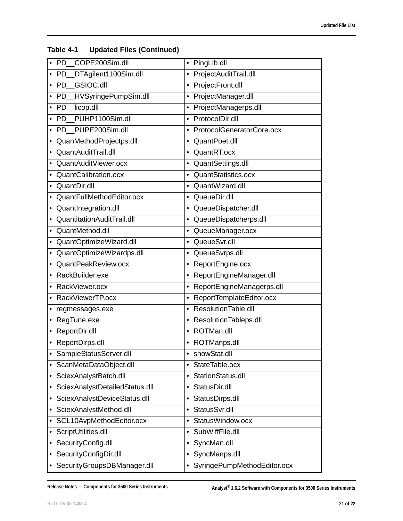| COPE200Sim.dll<br><b>PD</b>         | • PingLib.dll                            |
|-------------------------------------|------------------------------------------|
| DTAgilent1100Sim.dll<br><b>PD</b>   | ProjectAuditTrail.dll<br>$\bullet$       |
| PD GSIOC.dll<br>$\bullet$           | ProjectFront.dll<br>$\bullet$            |
| HVSyringePumpSim.dll<br><b>PD</b>   | ProjectManager.dll                       |
| PD_licop.dll                        | ProjectManagerps.dll<br>$\bullet$        |
| PUHP1100Sim.dll<br>$\bullet$ PD     | ProtocolDir.dll<br>$\bullet$             |
| PUPE200Sim.dll<br><b>PD</b>         | ProtocolGeneratorCore.ocx<br>$\bullet$   |
| QuanMethodProjectps.dll             | QuantPoet.dll<br>$\bullet$               |
| QuantAuditTrail.dll                 | QuantRT.ocx<br>$\bullet$                 |
| QuantAuditViewer.ocx                | QuantSettings.dll<br>$\bullet$           |
| QuantCalibration.ocx                | QuantStatistics.ocx                      |
| QuantDir.dll                        | • QuantWizard.dll                        |
| QuantFullMethodEditor.ocx           | QueueDir.dll<br>$\bullet$                |
| QuantIntegration.dll<br>$\bullet$   | QueueDispatcher.dll<br>$\bullet$         |
| QuantitationAuditTrail.dll          | QueueDispatcherps.dll<br>$\bullet$       |
| QuantMethod.dll                     | QueueManager.ocx<br>٠                    |
| QuantOptimizeWizard.dll             | QueueSvr.dll<br>$\bullet$                |
| QuantOptimizeWizardps.dll           | • QueueSvrps.dll                         |
| QuantPeakReview.ocx                 | ReportEngine.ocx<br>٠                    |
| • RackBuilder.exe                   | ReportEngineManager.dll<br>٠             |
| RackViewer.ocx                      | ReportEngineManagerps.dll<br>$\bullet$   |
| RackViewerTP.ocx                    | ReportTemplateEditor.ocx<br>$\bullet$    |
| • regmessages.exe                   | ResolutionTable.dll<br>$\bullet$         |
| RegTune.exe<br>$\bullet$            | ResolutionTableps.dll<br>$\bullet$       |
| ReportDir.dll<br>$\bullet$          | • ROTMan.dll                             |
| • ReportDirps.dll                   | • ROTManps.dll                           |
| SampleStatusServer.dll<br>$\bullet$ | showStat.dll                             |
| ScanMetaDataObject.dll              | StateTable.ocx<br>$\bullet$              |
| SciexAnalystBatch.dll<br>٠          | StationStatus.dll<br>٠                   |
| SciexAnalystDetailedStatus.dll<br>٠ | StatusDir.dll<br>$\bullet$               |
| SciexAnalystDeviceStatus.dll        | StatusDirps.dll<br>٠                     |
| SciexAnalystMethod.dll<br>٠         | StatusSvr.dll<br>$\bullet$               |
| SCL10AvpMethodEditor.ocx<br>٠       | StatusWindow.ocx<br>$\bullet$            |
| ScriptUtilities.dll                 | SubWiffFile.dll<br>٠                     |
| SecurityConfig.dll<br>٠             | SyncMan.dll<br>$\bullet$                 |
| SecurityConfigDir.dll<br>٠          | SyncManps.dll<br>$\bullet$               |
| SecurityGroupsDBManager.dll         | SyringePumpMethodEditor.ocx<br>$\bullet$ |

**Release Notes — Components for 3500 Series Instruments Analyst® 1.6.2 Software with Components for 3500 Series Instruments**